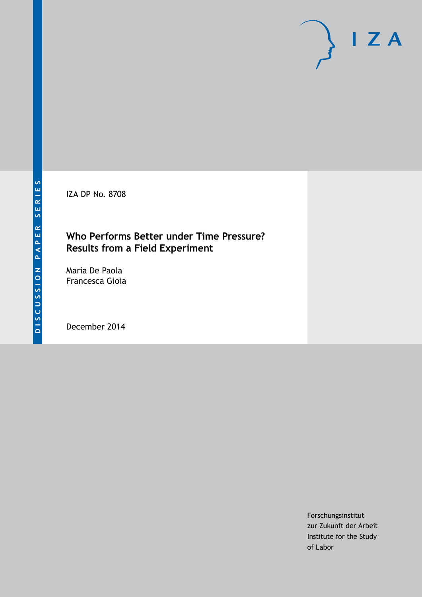IZA DP No. 8708

## **Who Performs Better under Time Pressure? Results from a Field Experiment**

Maria De Paola Francesca Gioia

December 2014

Forschungsinstitut zur Zukunft der Arbeit Institute for the Study of Labor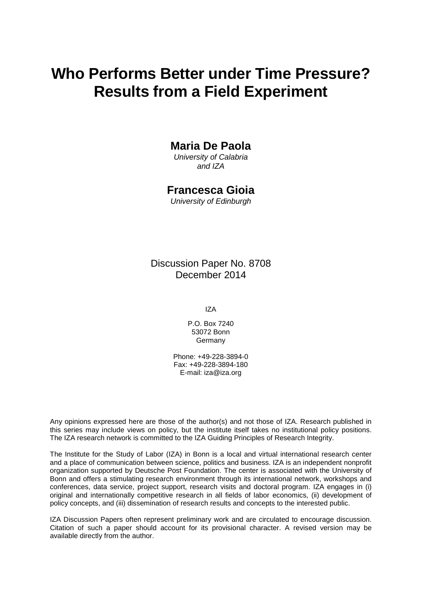# **Who Performs Better under Time Pressure? Results from a Field Experiment**

## **Maria De Paola**

*University of Calabria and IZA*

## **Francesca Gioia**

*University of Edinburgh*

Discussion Paper No. 8708 December 2014

IZA

P.O. Box 7240 53072 Bonn Germany

Phone: +49-228-3894-0 Fax: +49-228-3894-180 E-mail: [iza@iza.org](mailto:iza@iza.org)

Any opinions expressed here are those of the author(s) and not those of IZA. Research published in this series may include views on policy, but the institute itself takes no institutional policy positions. The IZA research network is committed to the IZA Guiding Principles of Research Integrity.

The Institute for the Study of Labor (IZA) in Bonn is a local and virtual international research center and a place of communication between science, politics and business. IZA is an independent nonprofit organization supported by Deutsche Post Foundation. The center is associated with the University of Bonn and offers a stimulating research environment through its international network, workshops and conferences, data service, project support, research visits and doctoral program. IZA engages in (i) original and internationally competitive research in all fields of labor economics, (ii) development of policy concepts, and (iii) dissemination of research results and concepts to the interested public.

<span id="page-1-0"></span>IZA Discussion Papers often represent preliminary work and are circulated to encourage discussion. Citation of such a paper should account for its provisional character. A revised version may be available directly from the author.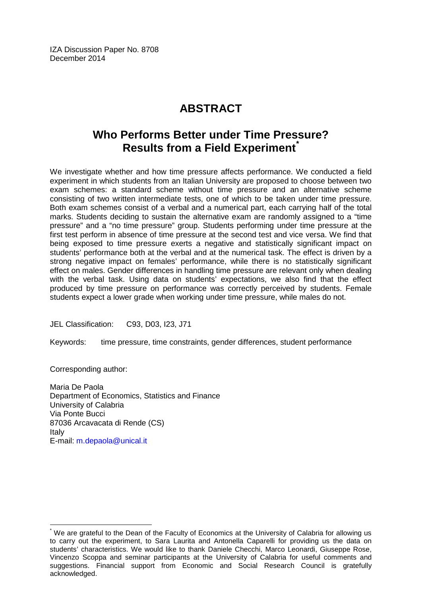IZA Discussion Paper No. 8708 December 2014

## **ABSTRACT**

## **Who Performs Better under Time Pressure? Results from a Field Experiment[\\*](#page-1-0)**

We investigate whether and how time pressure affects performance. We conducted a field experiment in which students from an Italian University are proposed to choose between two exam schemes: a standard scheme without time pressure and an alternative scheme consisting of two written intermediate tests, one of which to be taken under time pressure. Both exam schemes consist of a verbal and a numerical part, each carrying half of the total marks. Students deciding to sustain the alternative exam are randomly assigned to a "time pressure" and a "no time pressure" group. Students performing under time pressure at the first test perform in absence of time pressure at the second test and vice versa. We find that being exposed to time pressure exerts a negative and statistically significant impact on students' performance both at the verbal and at the numerical task. The effect is driven by a strong negative impact on females' performance, while there is no statistically significant effect on males. Gender differences in handling time pressure are relevant only when dealing with the verbal task. Using data on students' expectations, we also find that the effect produced by time pressure on performance was correctly perceived by students. Female students expect a lower grade when working under time pressure, while males do not.

JEL Classification: C93, D03, I23, J71

Keywords: time pressure, time constraints, gender differences, student performance

Corresponding author:

Maria De Paola Department of Economics, Statistics and Finance University of Calabria Via Ponte Bucci 87036 Arcavacata di Rende (CS) Italy E-mail: [m.depaola@unical.it](mailto:m.depaola@unical.it)

We are grateful to the Dean of the Faculty of Economics at the University of Calabria for allowing us to carry out the experiment, to Sara Laurita and Antonella Caparelli for providing us the data on students' characteristics. We would like to thank Daniele Checchi, Marco Leonardi, Giuseppe Rose, Vincenzo Scoppa and seminar participants at the University of Calabria for useful comments and suggestions. Financial support from Economic and Social Research Council is gratefully acknowledged.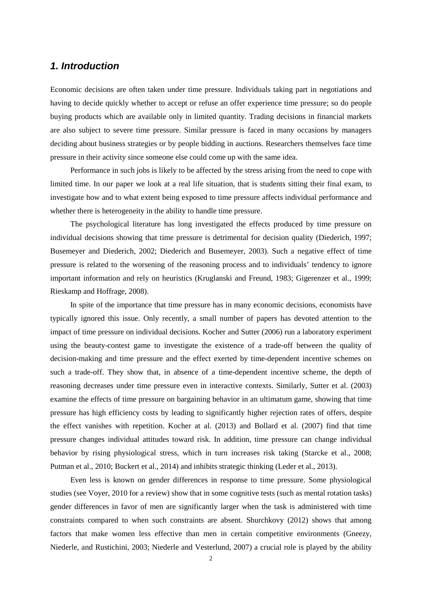## *1. Introduction*

Economic decisions are often taken under time pressure. Individuals taking part in negotiations and having to decide quickly whether to accept or refuse an offer experience time pressure; so do people buying products which are available only in limited quantity. Trading decisions in financial markets are also subject to severe time pressure. Similar pressure is faced in many occasions by managers deciding about business strategies or by people bidding in auctions. Researchers themselves face time pressure in their activity since someone else could come up with the same idea.

Performance in such jobs is likely to be affected by the stress arising from the need to cope with limited time. In our paper we look at a real life situation, that is students sitting their final exam, to investigate how and to what extent being exposed to time pressure affects individual performance and whether there is heterogeneity in the ability to handle time pressure.

The psychological literature has long investigated the effects produced by time pressure on individual decisions showing that time pressure is detrimental for decision quality (Diederich, 1997; Busemeyer and Diederich, 2002; Diederich and Busemeyer, 2003). Such a negative effect of time pressure is related to the worsening of the reasoning process and to individuals' tendency to ignore important information and rely on heuristics (Kruglanski and Freund, 1983; Gigerenzer et al., 1999; Rieskamp and Hoffrage, 2008).

In spite of the importance that time pressure has in many economic decisions, economists have typically ignored this issue. Only recently, a small number of papers has devoted attention to the impact of time pressure on individual decisions. Kocher and Sutter (2006) run a laboratory experiment using the beauty-contest game to investigate the existence of a trade-off between the quality of decision-making and time pressure and the effect exerted by time-dependent incentive schemes on such a trade-off. They show that, in absence of a time-dependent incentive scheme, the depth of reasoning decreases under time pressure even in interactive contexts. Similarly, Sutter et al. (2003) examine the effects of time pressure on bargaining behavior in an ultimatum game, showing that time pressure has high efficiency costs by leading to significantly higher rejection rates of offers, despite the effect vanishes with repetition. Kocher at al. (2013) and Bollard et al. (2007) find that time pressure changes individual attitudes toward risk. In addition, time pressure can change individual behavior by rising physiological stress, which in turn increases risk taking (Starcke et al., 2008; Putman et al., 2010; Buckert et al., 2014) and inhibits strategic thinking (Leder et al., 2013).

Even less is known on gender differences in response to time pressure. Some physiological studies (see Voyer, 2010 for a review) show that in some cognitive tests (such as mental rotation tasks) gender differences in favor of men are significantly larger when the task is administered with time constraints compared to when such constraints are absent. Shurchkovy (2012) shows that among factors that make women less effective than men in certain competitive environments (Gneezy, Niederle, and Rustichini, 2003; Niederle and Vesterlund, 2007) a crucial role is played by the ability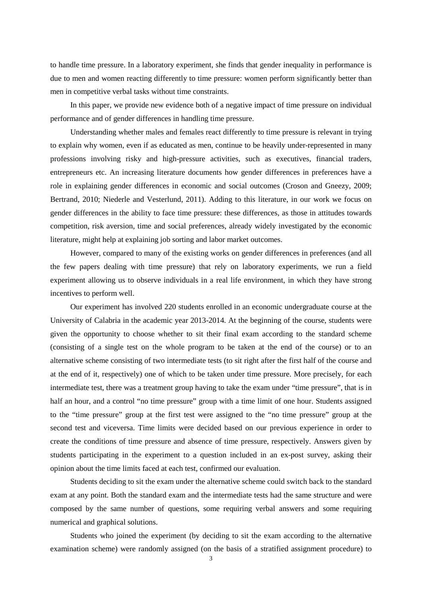to handle time pressure. In a laboratory experiment, she finds that gender inequality in performance is due to men and women reacting differently to time pressure: women perform significantly better than men in competitive verbal tasks without time constraints.

In this paper, we provide new evidence both of a negative impact of time pressure on individual performance and of gender differences in handling time pressure.

Understanding whether males and females react differently to time pressure is relevant in trying to explain why women, even if as educated as men, continue to be heavily under-represented in many professions involving risky and high-pressure activities, such as executives, financial traders, entrepreneurs etc. An increasing literature documents how gender differences in preferences have a role in explaining gender differences in economic and social outcomes (Croson and Gneezy, 2009; Bertrand, 2010; Niederle and Vesterlund, 2011). Adding to this literature, in our work we focus on gender differences in the ability to face time pressure: these differences, as those in attitudes towards competition, risk aversion, time and social preferences, already widely investigated by the economic literature, might help at explaining job sorting and labor market outcomes.

However, compared to many of the existing works on gender differences in preferences (and all the few papers dealing with time pressure) that rely on laboratory experiments, we run a field experiment allowing us to observe individuals in a real life environment, in which they have strong incentives to perform well.

Our experiment has involved 220 students enrolled in an economic undergraduate course at the University of Calabria in the academic year 2013-2014. At the beginning of the course, students were given the opportunity to choose whether to sit their final exam according to the standard scheme (consisting of a single test on the whole program to be taken at the end of the course) or to an alternative scheme consisting of two intermediate tests (to sit right after the first half of the course and at the end of it, respectively) one of which to be taken under time pressure. More precisely, for each intermediate test, there was a treatment group having to take the exam under "time pressure", that is in half an hour, and a control "no time pressure" group with a time limit of one hour. Students assigned to the "time pressure" group at the first test were assigned to the "no time pressure" group at the second test and viceversa. Time limits were decided based on our previous experience in order to create the conditions of time pressure and absence of time pressure, respectively. Answers given by students participating in the experiment to a question included in an ex-post survey, asking their opinion about the time limits faced at each test, confirmed our evaluation.

Students deciding to sit the exam under the alternative scheme could switch back to the standard exam at any point. Both the standard exam and the intermediate tests had the same structure and were composed by the same number of questions, some requiring verbal answers and some requiring numerical and graphical solutions.

Students who joined the experiment (by deciding to sit the exam according to the alternative examination scheme) were randomly assigned (on the basis of a stratified assignment procedure) to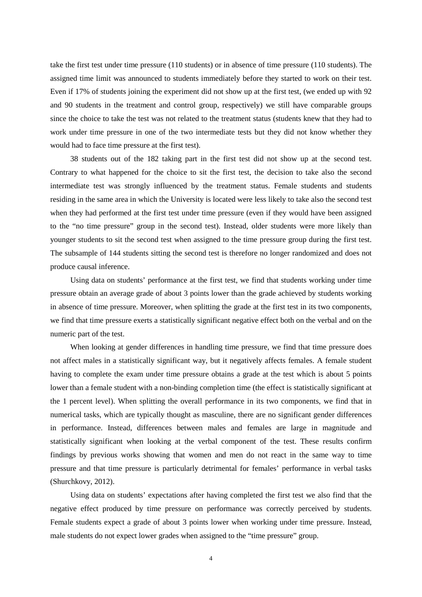take the first test under time pressure (110 students) or in absence of time pressure (110 students). The assigned time limit was announced to students immediately before they started to work on their test. Even if 17% of students joining the experiment did not show up at the first test, (we ended up with 92 and 90 students in the treatment and control group, respectively) we still have comparable groups since the choice to take the test was not related to the treatment status (students knew that they had to work under time pressure in one of the two intermediate tests but they did not know whether they would had to face time pressure at the first test).

38 students out of the 182 taking part in the first test did not show up at the second test. Contrary to what happened for the choice to sit the first test, the decision to take also the second intermediate test was strongly influenced by the treatment status. Female students and students residing in the same area in which the University is located were less likely to take also the second test when they had performed at the first test under time pressure (even if they would have been assigned to the "no time pressure" group in the second test). Instead, older students were more likely than younger students to sit the second test when assigned to the time pressure group during the first test. The subsample of 144 students sitting the second test is therefore no longer randomized and does not produce causal inference.

Using data on students' performance at the first test, we find that students working under time pressure obtain an average grade of about 3 points lower than the grade achieved by students working in absence of time pressure. Moreover, when splitting the grade at the first test in its two components, we find that time pressure exerts a statistically significant negative effect both on the verbal and on the numeric part of the test.

When looking at gender differences in handling time pressure, we find that time pressure does not affect males in a statistically significant way, but it negatively affects females. A female student having to complete the exam under time pressure obtains a grade at the test which is about 5 points lower than a female student with a non-binding completion time (the effect is statistically significant at the 1 percent level). When splitting the overall performance in its two components, we find that in numerical tasks, which are typically thought as masculine, there are no significant gender differences in performance. Instead, differences between males and females are large in magnitude and statistically significant when looking at the verbal component of the test. These results confirm findings by previous works showing that women and men do not react in the same way to time pressure and that time pressure is particularly detrimental for females' performance in verbal tasks (Shurchkovy, 2012).

Using data on students' expectations after having completed the first test we also find that the negative effect produced by time pressure on performance was correctly perceived by students. Female students expect a grade of about 3 points lower when working under time pressure. Instead, male students do not expect lower grades when assigned to the "time pressure" group.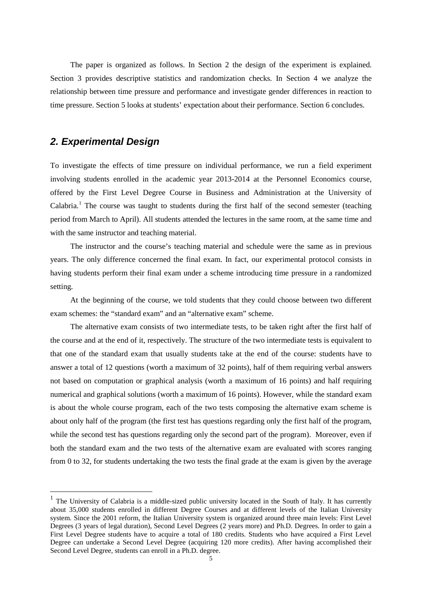The paper is organized as follows. In Section 2 the design of the experiment is explained. Section 3 provides descriptive statistics and randomization checks. In Section 4 we analyze the relationship between time pressure and performance and investigate gender differences in reaction to time pressure. Section 5 looks at students' expectation about their performance. Section 6 concludes.

## *2. Experimental Design*

To investigate the effects of time pressure on individual performance, we run a field experiment involving students enrolled in the academic year 2013-2014 at the Personnel Economics course, offered by the First Level Degree Course in Business and Administration at the University of  $Calabria<sup>1</sup>$ . The course was taught to students during the first half of the second semester (teaching period from March to April). All students attended the lectures in the same room, at the same time and with the same instructor and teaching material.

The instructor and the course's teaching material and schedule were the same as in previous years. The only difference concerned the final exam. In fact, our experimental protocol consists in having students perform their final exam under a scheme introducing time pressure in a randomized setting.

At the beginning of the course, we told students that they could choose between two different exam schemes: the "standard exam" and an "alternative exam" scheme.

The alternative exam consists of two intermediate tests, to be taken right after the first half of the course and at the end of it, respectively. The structure of the two intermediate tests is equivalent to that one of the standard exam that usually students take at the end of the course: students have to answer a total of 12 questions (worth a maximum of 32 points), half of them requiring verbal answers not based on computation or graphical analysis (worth a maximum of 16 points) and half requiring numerical and graphical solutions (worth a maximum of 16 points). However, while the standard exam is about the whole course program, each of the two tests composing the alternative exam scheme is about only half of the program (the first test has questions regarding only the first half of the program, while the second test has questions regarding only the second part of the program). Moreover, even if both the standard exam and the two tests of the alternative exam are evaluated with scores ranging from 0 to 32, for students undertaking the two tests the final grade at the exam is given by the average

<span id="page-6-0"></span> $<sup>1</sup>$  The University of Calabria is a middle-sized public university located in the South of Italy. It has currently</sup> about 35,000 students enrolled in different Degree Courses and at different levels of the Italian University system. Since the 2001 reform, the Italian University system is organized around three main levels: First Level Degrees (3 years of legal duration), Second Level Degrees (2 years more) and Ph.D. Degrees. In order to gain a First Level Degree students have to acquire a total of 180 credits. Students who have acquired a First Level Degree can undertake a Second Level Degree (acquiring 120 more credits). After having accomplished their Second Level Degree, students can enroll in a Ph.D. degree.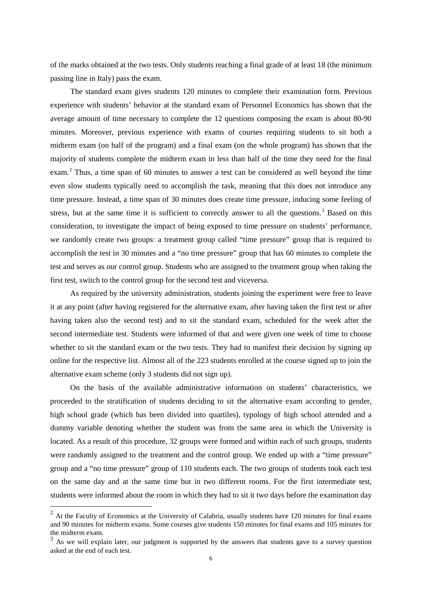of the marks obtained at the two tests. Only students reaching a final grade of at least 18 (the minimum passing line in Italy) pass the exam.

The standard exam gives students 120 minutes to complete their examination form. Previous experience with students' behavior at the standard exam of Personnel Economics has shown that the average amount of time necessary to complete the 12 questions composing the exam is about 80-90 minutes. Moreover, previous experience with exams of courses requiring students to sit both a midterm exam (on half of the program) and a final exam (on the whole program) has shown that the majority of students complete the midterm exam in less than half of the time they need for the final exam.[2](#page-6-0) Thus, a time span of 60 minutes to answer a test can be considered as well beyond the time even slow students typically need to accomplish the task, meaning that this does not introduce any time pressure. Instead, a time span of 30 minutes does create time pressure, inducing some feeling of stress, but at the same time it is sufficient to correctly answer to all the questions.<sup>[3](#page-7-0)</sup> Based on this consideration, to investigate the impact of being exposed to time pressure on students' performance, we randomly create two groups: a treatment group called "time pressure" group that is required to accomplish the test in 30 minutes and a "no time pressure" group that has 60 minutes to complete the test and serves as our control group. Students who are assigned to the treatment group when taking the first test, switch to the control group for the second test and viceversa.

As required by the university administration, students joining the experiment were free to leave it at any point (after having registered for the alternative exam, after having taken the first test or after having taken also the second test) and to sit the standard exam, scheduled for the week after the second intermediate test. Students were informed of that and were given one week of time to choose whether to sit the standard exam or the two tests. They had to manifest their decision by signing up online for the respective list. Almost all of the 223 students enrolled at the course signed up to join the alternative exam scheme (only 3 students did not sign up).

On the basis of the available administrative information on students' characteristics, we proceeded to the stratification of students deciding to sit the alternative exam according to gender, high school grade (which has been divided into quartiles), typology of high school attended and a dummy variable denoting whether the student was from the same area in which the University is located. As a result of this procedure, 32 groups were formed and within each of such groups, students were randomly assigned to the treatment and the control group. We ended up with a "time pressure" group and a "no time pressure" group of 110 students each. The two groups of students took each test on the same day and at the same time but in two different rooms. For the first intermediate test, students were informed about the room in which they had to sit it two days before the examination day

 $2$  At the Faculty of Economics at the University of Calabria, usually students have 120 minutes for final exams and 90 minutes for midterm exams. Some courses give students 150 minutes for final exams and 105 minutes for the midterm exam.

<span id="page-7-1"></span><span id="page-7-0"></span> $3$  As we will explain later, our judgment is supported by the answers that students gave to a survey question asked at the end of each test.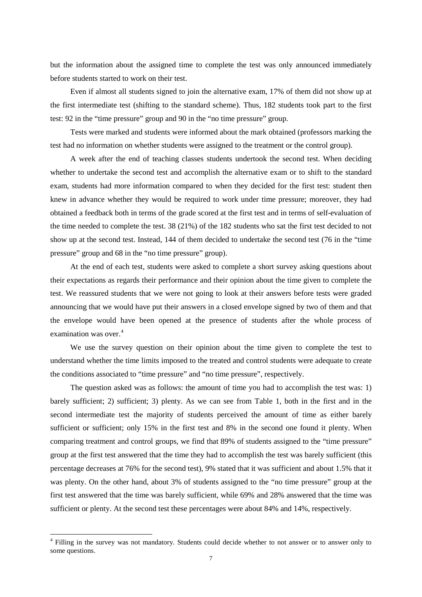but the information about the assigned time to complete the test was only announced immediately before students started to work on their test.

Even if almost all students signed to join the alternative exam, 17% of them did not show up at the first intermediate test (shifting to the standard scheme). Thus, 182 students took part to the first test: 92 in the "time pressure" group and 90 in the "no time pressure" group.

Tests were marked and students were informed about the mark obtained (professors marking the test had no information on whether students were assigned to the treatment or the control group).

A week after the end of teaching classes students undertook the second test. When deciding whether to undertake the second test and accomplish the alternative exam or to shift to the standard exam, students had more information compared to when they decided for the first test: student then knew in advance whether they would be required to work under time pressure; moreover, they had obtained a feedback both in terms of the grade scored at the first test and in terms of self-evaluation of the time needed to complete the test. 38 (21%) of the 182 students who sat the first test decided to not show up at the second test. Instead, 144 of them decided to undertake the second test (76 in the "time pressure" group and 68 in the "no time pressure" group).

At the end of each test, students were asked to complete a short survey asking questions about their expectations as regards their performance and their opinion about the time given to complete the test. We reassured students that we were not going to look at their answers before tests were graded announcing that we would have put their answers in a closed envelope signed by two of them and that the envelope would have been opened at the presence of students after the whole process of examination was over.<sup>[4](#page-7-1)</sup>

We use the survey question on their opinion about the time given to complete the test to understand whether the time limits imposed to the treated and control students were adequate to create the conditions associated to "time pressure" and "no time pressure", respectively.

The question asked was as follows: the amount of time you had to accomplish the test was: 1) barely sufficient; 2) sufficient; 3) plenty. As we can see from Table 1, both in the first and in the second intermediate test the majority of students perceived the amount of time as either barely sufficient or sufficient; only 15% in the first test and 8% in the second one found it plenty. When comparing treatment and control groups, we find that 89% of students assigned to the "time pressure" group at the first test answered that the time they had to accomplish the test was barely sufficient (this percentage decreases at 76% for the second test), 9% stated that it was sufficient and about 1.5% that it was plenty. On the other hand, about 3% of students assigned to the "no time pressure" group at the first test answered that the time was barely sufficient, while 69% and 28% answered that the time was sufficient or plenty. At the second test these percentages were about 84% and 14%, respectively.

<span id="page-8-0"></span><sup>&</sup>lt;sup>4</sup> Filling in the survey was not mandatory. Students could decide whether to not answer or to answer only to some questions.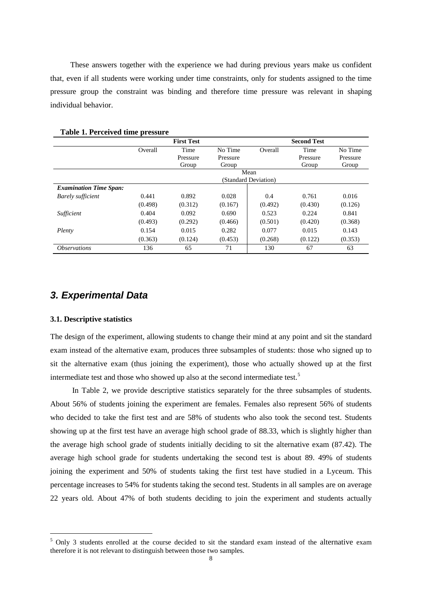These answers together with the experience we had during previous years make us confident that, even if all students were working under time constraints, only for students assigned to the time pressure group the constraint was binding and therefore time pressure was relevant in shaping individual behavior.

|                               |         | <b>First Test</b> |          |                      | <b>Second Test</b> |          |
|-------------------------------|---------|-------------------|----------|----------------------|--------------------|----------|
|                               | Overall | Time              | No Time  | Overall              | Time               | No Time  |
|                               |         | Pressure          | Pressure |                      | Pressure           | Pressure |
|                               |         | Group             | Group    |                      | Group              | Group    |
|                               |         |                   |          | Mean                 |                    |          |
|                               |         |                   |          | (Standard Deviation) |                    |          |
| <b>Examination Time Span:</b> |         |                   |          |                      |                    |          |
| <b>Barely</b> sufficient      | 0.441   | 0.892             | 0.028    | 0.4                  | 0.761              | 0.016    |
|                               | (0.498) | (0.312)           | (0.167)  | (0.492)              | (0.430)            | (0.126)  |
| Sufficient                    | 0.404   | 0.092             | 0.690    | 0.523                | 0.224              | 0.841    |
|                               | (0.493) | (0.292)           | (0.466)  | (0.501)              | (0.420)            | (0.368)  |
| Plenty                        | 0.154   | 0.015             | 0.282    | 0.077                | 0.015              | 0.143    |
|                               | (0.363) | (0.124)           | (0.453)  | (0.268)              | (0.122)            | (0.353)  |
| <i><b>Observations</b></i>    | 136     | 65                | 71       | 130                  | 67                 | 63       |

#### **Table 1. Perceived time pressure**

## *3. Experimental Data*

#### **3.1. Descriptive statistics**

The design of the experiment, allowing students to change their mind at any point and sit the standard exam instead of the alternative exam, produces three subsamples of students: those who signed up to sit the alternative exam (thus joining the experiment), those who actually showed up at the first intermediate test and those who showed up also at the second intermediate test.<sup>[5](#page-8-0)</sup>

In Table 2, we provide descriptive statistics separately for the three subsamples of students. About 56% of students joining the experiment are females. Females also represent 56% of students who decided to take the first test and are 58% of students who also took the second test. Students showing up at the first test have an average high school grade of 88.33, which is slightly higher than the average high school grade of students initially deciding to sit the alternative exam (87.42). The average high school grade for students undertaking the second test is about 89. 49% of students joining the experiment and 50% of students taking the first test have studied in a Lyceum. This percentage increases to 54% for students taking the second test. Students in all samples are on average 22 years old. About 47% of both students deciding to join the experiment and students actually

<span id="page-9-0"></span> <sup>5</sup> Only 3 students enrolled at the course decided to sit the standard exam instead of the alternative exam therefore it is not relevant to distinguish between those two samples.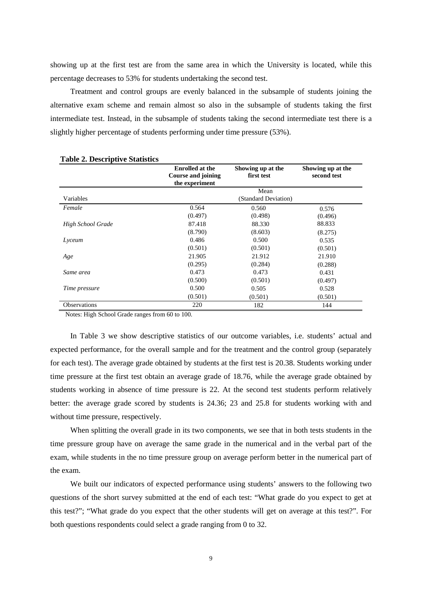showing up at the first test are from the same area in which the University is located, while this percentage decreases to 53% for students undertaking the second test.

Treatment and control groups are evenly balanced in the subsample of students joining the alternative exam scheme and remain almost so also in the subsample of students taking the first intermediate test. Instead, in the subsample of students taking the second intermediate test there is a slightly higher percentage of students performing under time pressure (53%).

|                          | <b>Enrolled at the</b>                      | Showing up at the    | Showing up at the |
|--------------------------|---------------------------------------------|----------------------|-------------------|
|                          | <b>Course and joining</b><br>the experiment | first test           | second test       |
|                          |                                             | Mean                 |                   |
| Variables                |                                             | (Standard Deviation) |                   |
| Female                   | 0.564                                       | 0.560                | 0.576             |
|                          | (0.497)                                     | (0.498)              | (0.496)           |
| <b>High School Grade</b> | 87.418                                      | 88.330               | 88.833            |
|                          | (8.790)                                     | (8.603)              | (8.275)           |
| Lyceum                   | 0.486                                       | 0.500                | 0.535             |
|                          | (0.501)                                     | (0.501)              | (0.501)           |
| Age                      | 21.905                                      | 21.912               | 21.910            |
|                          | (0.295)                                     | (0.284)              | (0.288)           |
| Same area                | 0.473                                       | 0.473                | 0.431             |
|                          | (0.500)                                     | (0.501)              | (0.497)           |
| Time pressure            | 0.500                                       | 0.505                | 0.528             |
|                          | (0.501)                                     | (0.501)              | (0.501)           |
| <b>Observations</b>      | 220                                         | 182                  | 144               |

|  | <b>Table 2. Descriptive Statistics</b> |  |
|--|----------------------------------------|--|
|--|----------------------------------------|--|

Notes: High School Grade ranges from 60 to 100.

In Table 3 we show descriptive statistics of our outcome variables, i.e. students' actual and expected performance, for the overall sample and for the treatment and the control group (separately for each test). The average grade obtained by students at the first test is 20.38. Students working under time pressure at the first test obtain an average grade of 18.76, while the average grade obtained by students working in absence of time pressure is 22. At the second test students perform relatively better: the average grade scored by students is 24.36; 23 and 25.8 for students working with and without time pressure, respectively.

When splitting the overall grade in its two components, we see that in both tests students in the time pressure group have on average the same grade in the numerical and in the verbal part of the exam, while students in the no time pressure group on average perform better in the numerical part of the exam.

We built our indicators of expected performance using students' answers to the following two questions of the short survey submitted at the end of each test: "What grade do you expect to get at this test?"; "What grade do you expect that the other students will get on average at this test?". For both questions respondents could select a grade ranging from 0 to 32.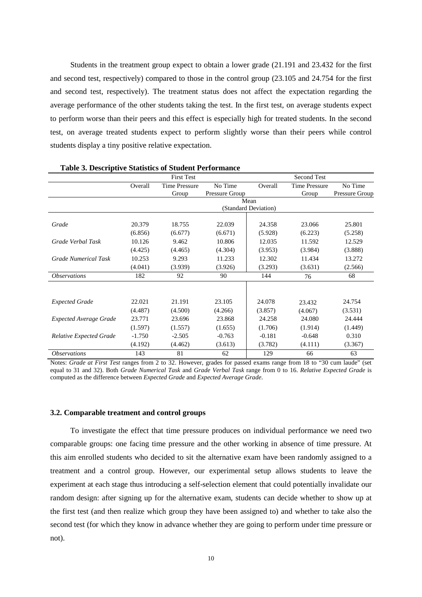Students in the treatment group expect to obtain a lower grade (21.191 and 23.432 for the first and second test, respectively) compared to those in the control group (23.105 and 24.754 for the first and second test, respectively). The treatment status does not affect the expectation regarding the average performance of the other students taking the test. In the first test, on average students expect to perform worse than their peers and this effect is especially high for treated students. In the second test, on average treated students expect to perform slightly worse than their peers while control students display a tiny positive relative expectation.

|                                |          | <b>First Test</b>    |                |                      | Second Test   |                |
|--------------------------------|----------|----------------------|----------------|----------------------|---------------|----------------|
|                                | Overall  | <b>Time Pressure</b> | No Time        | Overall              | Time Pressure | No Time        |
|                                |          | Group                | Pressure Group |                      | Group         | Pressure Group |
|                                |          |                      |                | Mean                 |               |                |
|                                |          |                      |                | (Standard Deviation) |               |                |
|                                |          |                      |                |                      |               |                |
| Grade                          | 20.379   | 18.755               | 22.039         | 24.358               | 23.066        | 25.801         |
|                                | (6.856)  | (6.677)              | (6.671)        | (5.928)              | (6.223)       | (5.258)        |
| Grade Verbal Task              | 10.126   | 9.462                | 10.806         | 12.035               | 11.592        | 12.529         |
|                                | (4.425)  | (4.465)              | (4.304)        | (3.953)              | (3.984)       | (3.888)        |
| <b>Grade Numerical Task</b>    | 10.253   | 9.293                | 11.233         | 12.302               | 11.434        | 13.272         |
|                                | (4.041)  | (3.939)              | (3.926)        | (3.293)              | (3.631)       | (2.566)        |
| <i><b>Observations</b></i>     | 182      | 92                   | 90             | 144                  | 76            | 68             |
|                                |          |                      |                |                      |               |                |
| <b>Expected Grade</b>          | 22.021   | 21.191               | 23.105         | 24.078               | 23.432        | 24.754         |
|                                | (4.487)  | (4.500)              | (4.266)        | (3.857)              | (4.067)       | (3.531)        |
| <b>Expected Average Grade</b>  | 23.771   | 23.696               | 23.868         | 24.258               | 24.080        | 24.444         |
|                                | (1.597)  | (1.557)              | (1.655)        | (1.706)              | (1.914)       | (1.449)        |
| <b>Relative Expected Grade</b> | $-1.750$ | $-2.505$             | $-0.763$       | $-0.181$             | $-0.648$      | 0.310          |
|                                | (4.192)  | (4.462)              | (3.613)        | (3.782)              | (4.111)       | (3.367)        |
| <i><b>Observations</b></i>     | 143      | 81                   | 62             | 129                  | 66            | 63             |

**Table 3. Descriptive Statistics of Student Performance**

Notes: *Grade at First Test* ranges from 2 to 32. However, grades for passed exams range from 18 to "30 cum laude" (set equal to 31 and 32). Both *Grade Numerical Task* and *Grade Verbal Task* range from 0 to 16. *Relative Expected Grade* is computed as the difference between *Expected Grade* and *Expected Average Grade*.

#### **3.2. Comparable treatment and control groups**

To investigate the effect that time pressure produces on individual performance we need two comparable groups: one facing time pressure and the other working in absence of time pressure. At this aim enrolled students who decided to sit the alternative exam have been randomly assigned to a treatment and a control group. However, our experimental setup allows students to leave the experiment at each stage thus introducing a self-selection element that could potentially invalidate our random design: after signing up for the alternative exam, students can decide whether to show up at the first test (and then realize which group they have been assigned to) and whether to take also the second test (for which they know in advance whether they are going to perform under time pressure or not).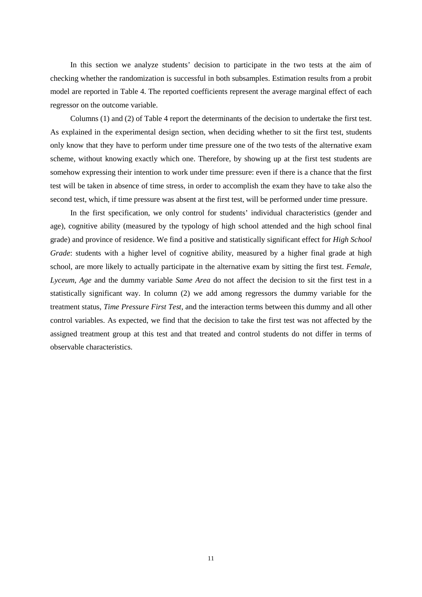In this section we analyze students' decision to participate in the two tests at the aim of checking whether the randomization is successful in both subsamples. Estimation results from a probit model are reported in Table 4. The reported coefficients represent the average marginal effect of each regressor on the outcome variable.

Columns (1) and (2) of Table 4 report the determinants of the decision to undertake the first test. As explained in the experimental design section, when deciding whether to sit the first test, students only know that they have to perform under time pressure one of the two tests of the alternative exam scheme, without knowing exactly which one. Therefore, by showing up at the first test students are somehow expressing their intention to work under time pressure: even if there is a chance that the first test will be taken in absence of time stress, in order to accomplish the exam they have to take also the second test, which, if time pressure was absent at the first test, will be performed under time pressure.

In the first specification, we only control for students' individual characteristics (gender and age), cognitive ability (measured by the typology of high school attended and the high school final grade) and province of residence. We find a positive and statistically significant effect for *High School Grade*: students with a higher level of cognitive ability, measured by a higher final grade at high school, are more likely to actually participate in the alternative exam by sitting the first test. *Female, Lyceum*, *Age* and the dummy variable *Same Area* do not affect the decision to sit the first test in a statistically significant way. In column (2) we add among regressors the dummy variable for the treatment status, *Time Pressure First Test*, and the interaction terms between this dummy and all other control variables. As expected, we find that the decision to take the first test was not affected by the assigned treatment group at this test and that treated and control students do not differ in terms of observable characteristics.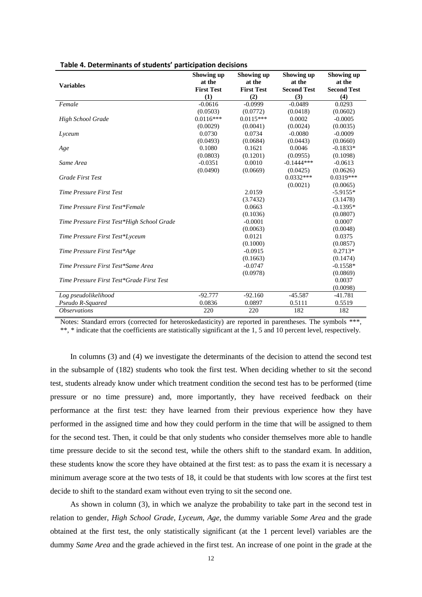|                                            | Showing up        | Showing up        | <b>Showing up</b>  | Showing up         |
|--------------------------------------------|-------------------|-------------------|--------------------|--------------------|
| <b>Variables</b>                           | at the            | at the            | at the             | at the             |
|                                            | <b>First Test</b> | <b>First Test</b> | <b>Second Test</b> | <b>Second Test</b> |
|                                            | (1)               | (2)               | (3)                | (4)                |
| Female                                     | $-0.0616$         | $-0.0999$         | $-0.0489$          | 0.0293             |
|                                            | (0.0503)          | (0.0772)          | (0.0418)           | (0.0602)           |
| <b>High School Grade</b>                   | $0.0116***$       | $0.0115***$       | 0.0002             | $-0.0005$          |
|                                            | (0.0029)          | (0.0041)          | (0.0024)           | (0.0035)           |
| Lyceum                                     | 0.0730            | 0.0734            | $-0.0080$          | $-0.0009$          |
|                                            | (0.0493)          | (0.0684)          | (0.0443)           | (0.0660)           |
| Age                                        | 0.1080            | 0.1621            | 0.0046             | $-0.1833*$         |
|                                            | (0.0803)          | (0.1201)          | (0.0955)           | (0.1098)           |
| Same Area                                  | $-0.0351$         | 0.0010            | $-0.1444***$       | $-0.0613$          |
|                                            | (0.0490)          | (0.0669)          | (0.0425)           | (0.0626)           |
| Grade First Test                           |                   |                   | $0.0332***$        | $0.0319***$        |
|                                            |                   |                   | (0.0021)           | (0.0065)           |
| <b>Time Pressure First Test</b>            |                   | 2.0159            |                    | $-5.9155*$         |
|                                            |                   | (3.7432)          |                    | (3.1478)           |
| Time Pressure First Test*Female            |                   | 0.0663            |                    | $-0.1395*$         |
|                                            |                   | (0.1036)          |                    | (0.0807)           |
| Time Pressure First Test*High School Grade |                   | $-0.0001$         |                    | 0.0007             |
|                                            |                   | (0.0063)          |                    | (0.0048)           |
| Time Pressure First Test*Lyceum            |                   | 0.0121            |                    | 0.0375             |
|                                            |                   | (0.1000)          |                    | (0.0857)           |
| Time Pressure First Test*Age               |                   | $-0.0915$         |                    | $0.2713*$          |
|                                            |                   | (0.1663)          |                    | (0.1474)           |
| Time Pressure First Test*Same Area         |                   | $-0.0747$         |                    | $-0.1558*$         |
|                                            |                   | (0.0978)          |                    | (0.0869)           |
| Time Pressure First Test*Grade First Test  |                   |                   |                    | 0.0037             |
|                                            |                   |                   |                    | (0.0098)           |
| Log pseudolikelihood                       | $-92.777$         | $-92.160$         | $-45.587$          | $-41.781$          |
| Pseudo R-Squared                           | 0.0836            | 0.0897            | 0.5111             | 0.5519             |
| <i><b>Observations</b></i>                 | 220               | 220               | 182                | 182                |

| Table 4. Determinants of students' participation decisions |  |
|------------------------------------------------------------|--|
|------------------------------------------------------------|--|

Notes: Standard errors (corrected for heteroskedasticity) are reported in parentheses. The symbols \*\*\*, \*\*, \* indicate that the coefficients are statistically significant at the 1, 5 and 10 percent level, respectively.

In columns (3) and (4) we investigate the determinants of the decision to attend the second test in the subsample of (182) students who took the first test. When deciding whether to sit the second test, students already know under which treatment condition the second test has to be performed (time pressure or no time pressure) and, more importantly, they have received feedback on their performance at the first test: they have learned from their previous experience how they have performed in the assigned time and how they could perform in the time that will be assigned to them for the second test. Then, it could be that only students who consider themselves more able to handle time pressure decide to sit the second test, while the others shift to the standard exam. In addition, these students know the score they have obtained at the first test: as to pass the exam it is necessary a minimum average score at the two tests of 18, it could be that students with low scores at the first test decide to shift to the standard exam without even trying to sit the second one.

As shown in column (3), in which we analyze the probability to take part in the second test in relation to gender, *High School Grade*, *Lyceum*, *Age*, the dummy variable *Some Area* and the grade obtained at the first test, the only statistically significant (at the 1 percent level) variables are the dummy *Same Area* and the grade achieved in the first test. An increase of one point in the grade at the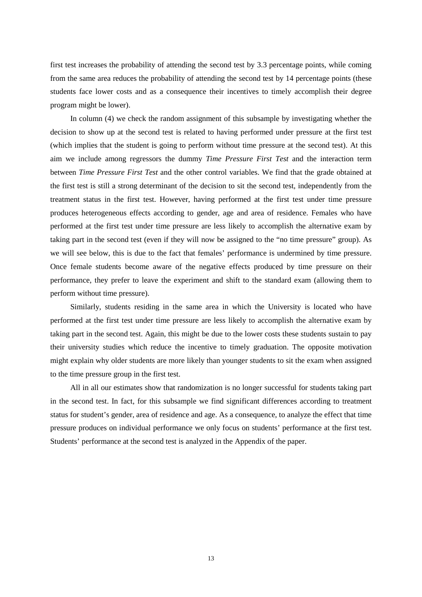first test increases the probability of attending the second test by 3.3 percentage points, while coming from the same area reduces the probability of attending the second test by 14 percentage points (these students face lower costs and as a consequence their incentives to timely accomplish their degree program might be lower).

In column (4) we check the random assignment of this subsample by investigating whether the decision to show up at the second test is related to having performed under pressure at the first test (which implies that the student is going to perform without time pressure at the second test). At this aim we include among regressors the dummy *Time Pressure First Test* and the interaction term between *Time Pressure First Test* and the other control variables. We find that the grade obtained at the first test is still a strong determinant of the decision to sit the second test, independently from the treatment status in the first test. However, having performed at the first test under time pressure produces heterogeneous effects according to gender, age and area of residence. Females who have performed at the first test under time pressure are less likely to accomplish the alternative exam by taking part in the second test (even if they will now be assigned to the "no time pressure" group). As we will see below, this is due to the fact that females' performance is undermined by time pressure. Once female students become aware of the negative effects produced by time pressure on their performance, they prefer to leave the experiment and shift to the standard exam (allowing them to perform without time pressure).

Similarly, students residing in the same area in which the University is located who have performed at the first test under time pressure are less likely to accomplish the alternative exam by taking part in the second test. Again, this might be due to the lower costs these students sustain to pay their university studies which reduce the incentive to timely graduation. The opposite motivation might explain why older students are more likely than younger students to sit the exam when assigned to the time pressure group in the first test.

All in all our estimates show that randomization is no longer successful for students taking part in the second test. In fact, for this subsample we find significant differences according to treatment status for student's gender, area of residence and age. As a consequence, to analyze the effect that time pressure produces on individual performance we only focus on students' performance at the first test. Students' performance at the second test is analyzed in the Appendix of the paper.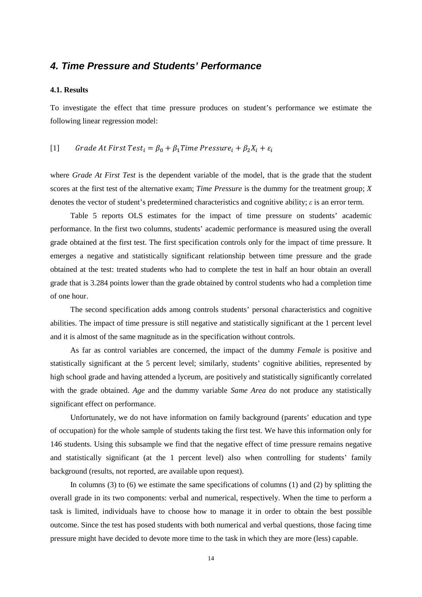## *4. Time Pressure and Students' Performance*

#### **4.1. Results**

To investigate the effect that time pressure produces on student's performance we estimate the following linear regression model:

#### [1] *Grade At First Test*<sub>i</sub> =  $\beta_0 + \beta_1$ Time Pressure<sub>i</sub> +  $\beta_2 X_i + \varepsilon_i$

where *Grade At First Test* is the dependent variable of the model, that is the grade that the student scores at the first test of the alternative exam; *Time Pressure* is the dummy for the treatment group; *X*  denotes the vector of student's predetermined characteristics and cognitive ability; *ε* is an error term.

Table 5 reports OLS estimates for the impact of time pressure on students' academic performance. In the first two columns, students' academic performance is measured using the overall grade obtained at the first test. The first specification controls only for the impact of time pressure. It emerges a negative and statistically significant relationship between time pressure and the grade obtained at the test: treated students who had to complete the test in half an hour obtain an overall grade that is 3.284 points lower than the grade obtained by control students who had a completion time of one hour.

The second specification adds among controls students' personal characteristics and cognitive abilities. The impact of time pressure is still negative and statistically significant at the 1 percent level and it is almost of the same magnitude as in the specification without controls.

As far as control variables are concerned, the impact of the dummy *Female* is positive and statistically significant at the 5 percent level; similarly, students' cognitive abilities, represented by high school grade and having attended a lyceum, are positively and statistically significantly correlated with the grade obtained. *Age* and the dummy variable *Same Area* do not produce any statistically significant effect on performance.

Unfortunately, we do not have information on family background (parents' education and type of occupation) for the whole sample of students taking the first test. We have this information only for 146 students. Using this subsample we find that the negative effect of time pressure remains negative and statistically significant (at the 1 percent level) also when controlling for students' family background (results, not reported, are available upon request).

In columns  $(3)$  to  $(6)$  we estimate the same specifications of columns  $(1)$  and  $(2)$  by splitting the overall grade in its two components: verbal and numerical, respectively. When the time to perform a task is limited, individuals have to choose how to manage it in order to obtain the best possible outcome. Since the test has posed students with both numerical and verbal questions, those facing time pressure might have decided to devote more time to the task in which they are more (less) capable.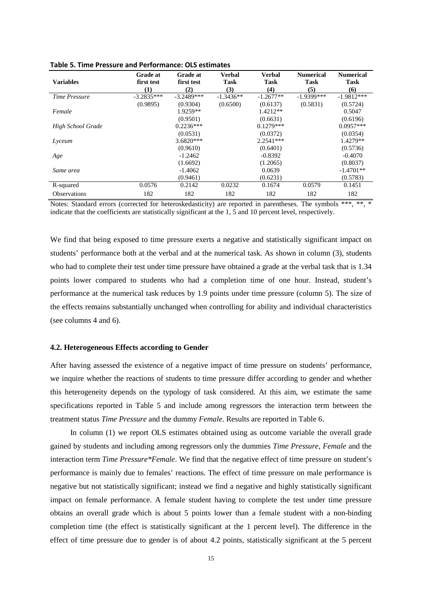|                          | <b>Grade at</b> | <b>Grade at</b> | Verbal      | <b>Verbal</b> | <b>Numerical</b> | <b>Numerical</b> |
|--------------------------|-----------------|-----------------|-------------|---------------|------------------|------------------|
| <b>Variables</b>         | first test      | first test      | <b>Task</b> | <b>Task</b>   | <b>Task</b>      | Task             |
|                          | $\bf(1)$        | (2)             | (3)         | (4)           | (5)              | (6)              |
| <b>Time Pressure</b>     | $-3.2835***$    | $-3.2489***$    | $-1.3436**$ | $-1.2677**$   | $-1.9399***$     | $-1.9812***$     |
|                          | (0.9895)        | (0.9304)        | (0.6500)    | (0.6137)      | (0.5831)         | (0.5724)         |
| Female                   |                 | 1.9259**        |             | $1.4212**$    |                  | 0.5047           |
|                          |                 | (0.9501)        |             | (0.6631)      |                  | (0.6196)         |
| <b>High School Grade</b> |                 | $0.2236***$     |             | $0.1279***$   |                  | $0.0957***$      |
|                          |                 | (0.0531)        |             | (0.0372)      |                  | (0.0354)         |
| Lyceum                   |                 | $3.6820***$     |             | $2.2541***$   |                  | 1.4279**         |
|                          |                 | (0.9610)        |             | (0.6401)      |                  | (0.5736)         |
| Age                      |                 | $-1.2462$       |             | $-0.8392$     |                  | $-0.4070$        |
|                          |                 | (1.6692)        |             | (1.2065)      |                  | (0.8037)         |
| Same area                |                 | $-1.4062$       |             | 0.0639        |                  | $-1.4701**$      |
|                          |                 | (0.9461)        |             | (0.6231)      |                  | (0.5783)         |
| R-squared                | 0.0576          | 0.2142          | 0.0232      | 0.1674        | 0.0579           | 0.1451           |
| <b>Observations</b>      | 182             | 182             | 182         | 182           | 182              | 182              |

**Table 5. Time Pressure and Performance: OLS estimates**

Notes: Standard errors (corrected for heteroskedasticity) are reported in parentheses. The symbols \*\*\*, \*\*, \* indicate that the coefficients are statistically significant at the 1, 5 and 10 percent level, respectively.

We find that being exposed to time pressure exerts a negative and statistically significant impact on students' performance both at the verbal and at the numerical task. As shown in column (3), students who had to complete their test under time pressure have obtained a grade at the verbal task that is 1.34 points lower compared to students who had a completion time of one hour. Instead, student's performance at the numerical task reduces by 1.9 points under time pressure (column 5). The size of the effects remains substantially unchanged when controlling for ability and individual characteristics (see columns 4 and 6).

### **4.2. Heterogeneous Effects according to Gender**

After having assessed the existence of a negative impact of time pressure on students' performance, we inquire whether the reactions of students to time pressure differ according to gender and whether this heterogeneity depends on the typology of task considered. At this aim, we estimate the same specifications reported in Table 5 and include among regressors the interaction term between the treatment status *Time Pressure* and the dummy *Female*. Results are reported in Table 6.

In column (1) we report OLS estimates obtained using as outcome variable the overall grade gained by students and including among regressors only the dummies *Time Pressure*, *Female* and the interaction term *Time Pressure\*Female*. We find that the negative effect of time pressure on student's performance is mainly due to females' reactions. The effect of time pressure on male performance is negative but not statistically significant; instead we find a negative and highly statistically significant impact on female performance. A female student having to complete the test under time pressure obtains an overall grade which is about 5 points lower than a female student with a non-binding completion time (the effect is statistically significant at the 1 percent level). The difference in the effect of time pressure due to gender is of about 4.2 points, statistically significant at the 5 percent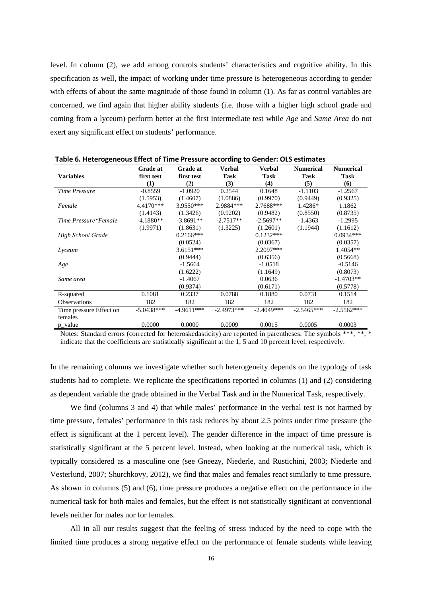level. In column (2), we add among controls students' characteristics and cognitive ability. In this specification as well, the impact of working under time pressure is heterogeneous according to gender with effects of about the same magnitude of those found in column (1). As far as control variables are concerned, we find again that higher ability students (i.e. those with a higher high school grade and coming from a lyceum) perform better at the first intermediate test while *Age* and *Same Area* do not exert any significant effect on students' performance.

|                          | <b>Grade at</b> | <b>Grade at</b> | Verbal       | Verbal       | <b>Numerical</b> | <b>Numerical</b> |
|--------------------------|-----------------|-----------------|--------------|--------------|------------------|------------------|
| <b>Variables</b>         | first test      | first test      | <b>Task</b>  | <b>Task</b>  | <b>Task</b>      | <b>Task</b>      |
|                          | (1)             | (2)             | (3)          | (4)          | (5)              | (6)              |
| Time Pressure            | $-0.8559$       | $-1.0920$       | 0.2544       | 0.1648       | $-1.1103$        | $-1.2567$        |
|                          | (1.5953)        | (1.4607)        | (1.0886)     | (0.9970)     | (0.9449)         | (0.9325)         |
| Female                   | $4.4170***$     | $3.9550***$     | 2.9884***    | 2.7688***    | 1.4286*          | 1.1862           |
|                          | (1.4143)        | (1.3426)        | (0.9202)     | (0.9482)     | (0.8550)         | (0.8735)         |
| Time Pressure*Female     | $-4.1880**$     | $-3.8691**$     | $-2.7517**$  | $-2.5697**$  | $-1.4363$        | $-1.2995$        |
|                          | (1.9971)        | (1.8631)        | (1.3225)     | (1.2601)     | (1.1944)         | (1.1612)         |
| <b>High School Grade</b> |                 | $0.2166***$     |              | $0.1232***$  |                  | $0.0934***$      |
|                          |                 | (0.0524)        |              | (0.0367)     |                  | (0.0357)         |
| Lyceum                   |                 | $3.6151***$     |              | 2.2097***    |                  | $1.4054**$       |
|                          |                 | (0.9444)        |              | (0.6356)     |                  | (0.5668)         |
| Age                      |                 | $-1.5664$       |              | $-1.0518$    |                  | $-0.5146$        |
|                          |                 | (1.6222)        |              | (1.1649)     |                  | (0.8073)         |
| Same area                |                 | $-1.4067$       |              | 0.0636       |                  | $-1.4703**$      |
|                          |                 | (0.9374)        |              | (0.6171)     |                  | (0.5778)         |
| R-squared                | 0.1081          | 0.2337          | 0.0788       | 0.1880       | 0.0731           | 0.1514           |
| <b>Observations</b>      | 182             | 182             | 182          | 182          | 182              | 182              |
| Time pressure Effect on  | $-5.0438***$    | $-4.9611***$    | $-2.4973***$ | $-2.4049***$ | $-2.5465***$     | $-2.5562***$     |
| females                  |                 |                 |              |              |                  |                  |
| p_value                  | 0.0000          | 0.0000          | 0.0009       | 0.0015       | 0.0005           | 0.0003           |

**Table 6. Heterogeneous Effect of Time Pressure according to Gender: OLS estimates**

Notes: Standard errors (corrected for heteroskedasticity) are reported in parentheses. The symbols \*\*\*, \*\*, \* indicate that the coefficients are statistically significant at the 1, 5 and 10 percent level, respectively.

In the remaining columns we investigate whether such heterogeneity depends on the typology of task students had to complete. We replicate the specifications reported in columns (1) and (2) considering as dependent variable the grade obtained in the Verbal Task and in the Numerical Task, respectively.

We find (columns 3 and 4) that while males' performance in the verbal test is not harmed by time pressure, females' performance in this task reduces by about 2.5 points under time pressure (the effect is significant at the 1 percent level). The gender difference in the impact of time pressure is statistically significant at the 5 percent level. Instead, when looking at the numerical task, which is typically considered as a masculine one (see Gneezy, Niederle, and Rustichini, 2003; Niederle and Vesterlund, 2007; Shurchkovy, 2012), we find that males and females react similarly to time pressure. As shown in columns (5) and (6), time pressure produces a negative effect on the performance in the numerical task for both males and females, but the effect is not statistically significant at conventional levels neither for males nor for females.

All in all our results suggest that the feeling of stress induced by the need to cope with the limited time produces a strong negative effect on the performance of female students while leaving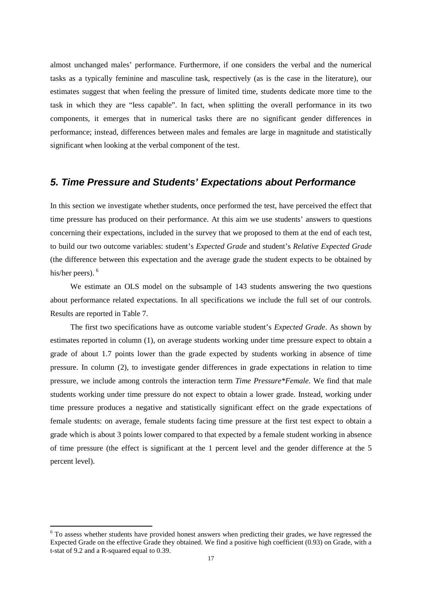almost unchanged males' performance. Furthermore, if one considers the verbal and the numerical tasks as a typically feminine and masculine task, respectively (as is the case in the literature), our estimates suggest that when feeling the pressure of limited time, students dedicate more time to the task in which they are "less capable". In fact, when splitting the overall performance in its two components, it emerges that in numerical tasks there are no significant gender differences in performance; instead, differences between males and females are large in magnitude and statistically significant when looking at the verbal component of the test.

## *5. Time Pressure and Students' Expectations about Performance*

In this section we investigate whether students, once performed the test, have perceived the effect that time pressure has produced on their performance. At this aim we use students' answers to questions concerning their expectations, included in the survey that we proposed to them at the end of each test, to build our two outcome variables: student's *Expected Grade* and student's *Relative Expected Grade* (the difference between this expectation and the average grade the student expects to be obtained by his/her peers). <sup>[6](#page-9-0)</sup>

We estimate an OLS model on the subsample of 143 students answering the two questions about performance related expectations. In all specifications we include the full set of our controls. Results are reported in Table 7.

The first two specifications have as outcome variable student's *Expected Grade*. As shown by estimates reported in column (1), on average students working under time pressure expect to obtain a grade of about 1.7 points lower than the grade expected by students working in absence of time pressure. In column (2), to investigate gender differences in grade expectations in relation to time pressure, we include among controls the interaction term *Time Pressure\*Female*. We find that male students working under time pressure do not expect to obtain a lower grade. Instead, working under time pressure produces a negative and statistically significant effect on the grade expectations of female students: on average, female students facing time pressure at the first test expect to obtain a grade which is about 3 points lower compared to that expected by a female student working in absence of time pressure (the effect is significant at the 1 percent level and the gender difference at the 5 percent level).

<sup>&</sup>lt;sup>6</sup> To assess whether students have provided honest answers when predicting their grades, we have regressed the Expected Grade on the effective Grade they obtained. We find a positive high coefficient (0.93) on Grade, with a t-stat of 9.2 and a R-squared equal to 0.39.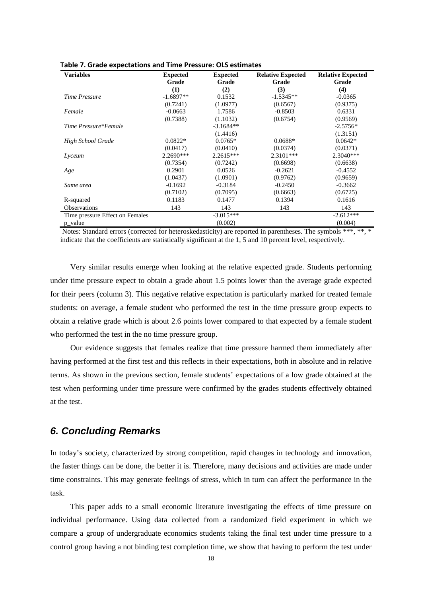| <b>Variables</b>                | <b>Expected</b> | <b>Expected</b> | <b>Relative Expected</b> | <b>Relative Expected</b> |
|---------------------------------|-----------------|-----------------|--------------------------|--------------------------|
|                                 | Grade           | Grade           | Grade                    | Grade                    |
|                                 | (1)             | (2)             | (3)                      | (4)                      |
| Time Pressure                   | $-1.6897**$     | 0.1532          | $-1.5345**$              | $-0.0365$                |
|                                 | (0.7241)        | (1.0977)        | (0.6567)                 | (0.9375)                 |
| Female                          | $-0.0663$       | 1.7586          | $-0.8503$                | 0.6331                   |
|                                 | (0.7388)        | (1.1032)        | (0.6754)                 | (0.9569)                 |
| Time Pressure*Female            |                 | $-3.1684**$     |                          | $-2.5756*$               |
|                                 |                 | (1.4416)        |                          | (1.3151)                 |
| High School Grade               | $0.0822*$       | $0.0765*$       | $0.0688*$                | $0.0642*$                |
|                                 | (0.0417)        | (0.0410)        | (0.0374)                 | (0.0371)                 |
| Lyceum                          | $2.2690***$     | $2.2615***$     | $2.3101***$              | 2.3040***                |
|                                 | (0.7354)        | (0.7242)        | (0.6698)                 | (0.6638)                 |
| Age                             | 0.2901          | 0.0526          | $-0.2621$                | $-0.4552$                |
|                                 | (1.0437)        | (1.0901)        | (0.9762)                 | (0.9659)                 |
| Same area                       | $-0.1692$       | $-0.3184$       | $-0.2450$                | $-0.3662$                |
|                                 | (0.7102)        | (0.7095)        | (0.6663)                 | (0.6725)                 |
| R-squared                       | 0.1183          | 0.1477          | 0.1394                   | 0.1616                   |
| <b>Observations</b>             | 143             | 143             | 143                      | 143                      |
| Time pressure Effect on Females |                 | $-3.015***$     |                          | $-2.612***$              |
| p_value                         |                 | (0.002)         |                          | (0.004)                  |

| Table 7. Grade expectations and Time Pressure: OLS estimates |  |  |
|--------------------------------------------------------------|--|--|
|--------------------------------------------------------------|--|--|

Notes: Standard errors (corrected for heteroskedasticity) are reported in parentheses. The symbols \*\*\*, \*\*, \* indicate that the coefficients are statistically significant at the 1, 5 and 10 percent level, respectively.

Very similar results emerge when looking at the relative expected grade. Students performing under time pressure expect to obtain a grade about 1.5 points lower than the average grade expected for their peers (column 3). This negative relative expectation is particularly marked for treated female students: on average, a female student who performed the test in the time pressure group expects to obtain a relative grade which is about 2.6 points lower compared to that expected by a female student who performed the test in the no time pressure group.

Our evidence suggests that females realize that time pressure harmed them immediately after having performed at the first test and this reflects in their expectations, both in absolute and in relative terms. As shown in the previous section, female students' expectations of a low grade obtained at the test when performing under time pressure were confirmed by the grades students effectively obtained at the test.

## *6. Concluding Remarks*

In today's society, characterized by strong competition, rapid changes in technology and innovation, the faster things can be done, the better it is. Therefore, many decisions and activities are made under time constraints. This may generate feelings of stress, which in turn can affect the performance in the task.

This paper adds to a small economic literature investigating the effects of time pressure on individual performance. Using data collected from a randomized field experiment in which we compare a group of undergraduate economics students taking the final test under time pressure to a control group having a not binding test completion time, we show that having to perform the test under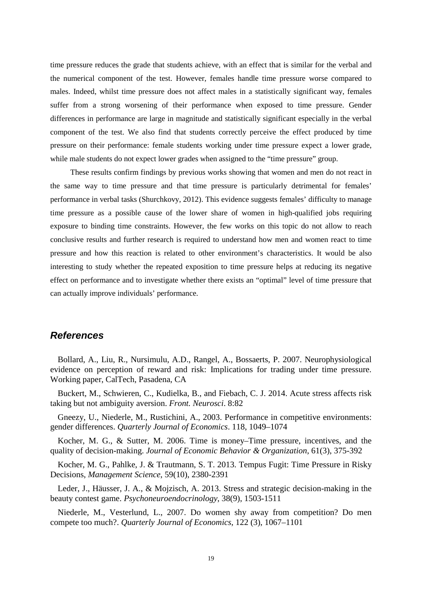time pressure reduces the grade that students achieve, with an effect that is similar for the verbal and the numerical component of the test. However, females handle time pressure worse compared to males. Indeed, whilst time pressure does not affect males in a statistically significant way, females suffer from a strong worsening of their performance when exposed to time pressure. Gender differences in performance are large in magnitude and statistically significant especially in the verbal component of the test. We also find that students correctly perceive the effect produced by time pressure on their performance: female students working under time pressure expect a lower grade, while male students do not expect lower grades when assigned to the "time pressure" group.

These results confirm findings by previous works showing that women and men do not react in the same way to time pressure and that time pressure is particularly detrimental for females' performance in verbal tasks (Shurchkovy, 2012). This evidence suggests females' difficulty to manage time pressure as a possible cause of the lower share of women in high-qualified jobs requiring exposure to binding time constraints. However, the few works on this topic do not allow to reach conclusive results and further research is required to understand how men and women react to time pressure and how this reaction is related to other environment's characteristics. It would be also interesting to study whether the repeated exposition to time pressure helps at reducing its negative effect on performance and to investigate whether there exists an "optimal" level of time pressure that can actually improve individuals' performance.

### *References*

Bollard, A., Liu, R., Nursimulu, A.D., Rangel, A., Bossaerts, P. 2007. Neurophysiological evidence on perception of reward and risk: Implications for trading under time pressure. Working paper, CalTech, Pasadena, CA

Buckert, M., Schwieren, C., Kudielka, B., and Fiebach, C. J. 2014. Acute stress affects risk taking but not ambiguity aversion. *Front. Neurosci*. 8:82

Gneezy, U., Niederle, M., Rustichini, A., 2003. Performance in competitive environments: gender differences. *Quarterly Journal of Economics*. 118, 1049–1074

Kocher, M. G., & Sutter, M. 2006. Time is money–Time pressure, incentives, and the quality of decision-making. *Journal of Economic Behavior & Organization*, 61(3), 375-392

Kocher, M. G., Pahlke, J. & Trautmann, S. T. 2013. Tempus Fugit: Time Pressure in Risky Decisions, *Management Science*, 59(10), 2380-2391

Leder, J., Häusser, J. A., & Mojzisch, A. 2013. Stress and strategic decision-making in the beauty contest game. *Psychoneuroendocrinology*, 38(9), 1503-1511

Niederle, M., Vesterlund, L., 2007. Do women shy away from competition? Do men compete too much?. *Quarterly Journal of Economics*, 122 (3), 1067–1101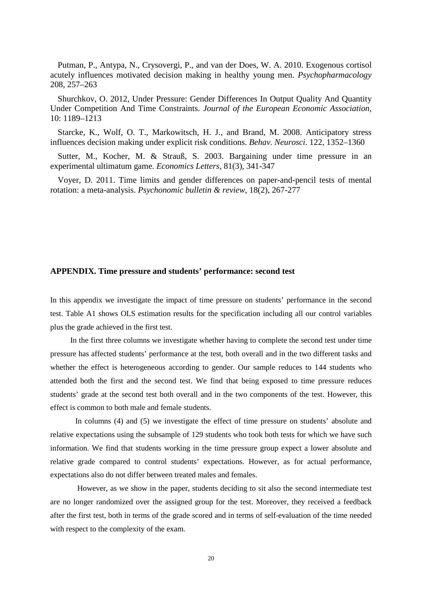Putman, P., Antypa, N., Crysovergi, P., and van der Does, W. A. 2010. Exogenous cortisol acutely influences motivated decision making in healthy young men. *Psychopharmacology* 208, 257–263

Shurchkov, O. 2012, Under Pressure: Gender Differences In Output Quality And Quantity Under Competition And Time Constraints. *Journal of the European Economic Association*, 10: 1189–1213

Starcke, K., Wolf, O. T., Markowitsch, H. J., and Brand, M. 2008. Anticipatory stress influences decision making under explicit risk conditions. *Behav. Neurosci*. 122, 1352–1360

Sutter, M., Kocher, M. & Strauß, S. 2003. Bargaining under time pressure in an experimental ultimatum game. *Economics Letters*, 81(3), 341-347

Voyer, D. 2011. Time limits and gender differences on paper-and-pencil tests of mental rotation: a meta-analysis. *Psychonomic bulletin & review*, 18(2), 267-277

#### **APPENDIX. Time pressure and students' performance: second test**

In this appendix we investigate the impact of time pressure on students' performance in the second test. Table A1 shows OLS estimation results for the specification including all our control variables plus the grade achieved in the first test.

In the first three columns we investigate whether having to complete the second test under time pressure has affected students' performance at the test, both overall and in the two different tasks and whether the effect is heterogeneous according to gender. Our sample reduces to 144 students who attended both the first and the second test. We find that being exposed to time pressure reduces students' grade at the second test both overall and in the two components of the test. However, this effect is common to both male and female students.

In columns (4) and (5) we investigate the effect of time pressure on students' absolute and relative expectations using the subsample of 129 students who took both tests for which we have such information. We find that students working in the time pressure group expect a lower absolute and relative grade compared to control students' expectations. However, as for actual performance, expectations also do not differ between treated males and females.

However, as we show in the paper, students deciding to sit also the second intermediate test are no longer randomized over the assigned group for the test. Moreover, they received a feedback after the first test, both in terms of the grade scored and in terms of self-evaluation of the time needed with respect to the complexity of the exam.